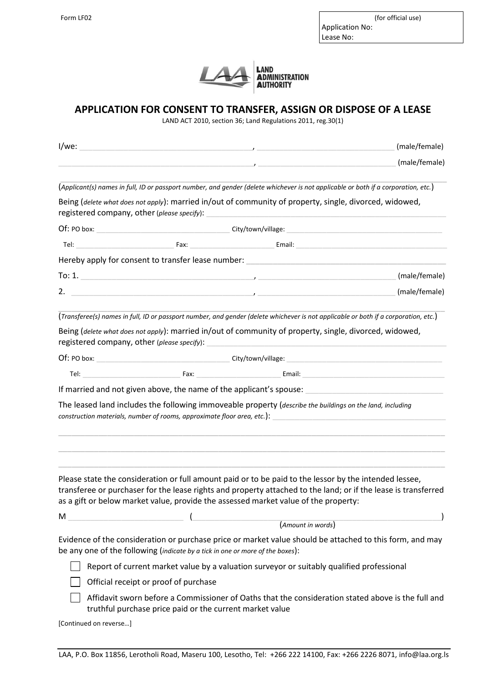Form LF02 (for official use) Application No:

Lease No:



## **APPLICATION FOR CONSENT TO TRANSFER, ASSIGN OR DISPOSE OF A LEASE**

LAND ACT 2010, section 36; Land Regulations 2011, reg.30(1)

| I/we:                  |                                                                                           | (male/female)<br><u> 2000 - 2000 - 2000 - 2000 - 2000 - 2000 - 2000 - 2000 - 2000 - 2000 - 2000 - 2000 - 2000 - 2000 - 2000 - 200</u>                                                                                                                                                                           |  |
|------------------------|-------------------------------------------------------------------------------------------|-----------------------------------------------------------------------------------------------------------------------------------------------------------------------------------------------------------------------------------------------------------------------------------------------------------------|--|
|                        |                                                                                           | (male/female)                                                                                                                                                                                                                                                                                                   |  |
|                        |                                                                                           | (Applicant(s) names in full, ID or passport number, and gender (delete whichever is not applicable or both if a corporation, etc.)                                                                                                                                                                              |  |
|                        | registered company, other (please specify):                                               | Being (delete what does not apply): married in/out of community of property, single, divorced, widowed,                                                                                                                                                                                                         |  |
|                        |                                                                                           |                                                                                                                                                                                                                                                                                                                 |  |
|                        |                                                                                           |                                                                                                                                                                                                                                                                                                                 |  |
|                        |                                                                                           | Hereby apply for consent to transfer lease number:                                                                                                                                                                                                                                                              |  |
|                        |                                                                                           | $\frac{1}{2}$ To: 1.<br>(male/female)                                                                                                                                                                                                                                                                           |  |
|                        |                                                                                           | (male/female)                                                                                                                                                                                                                                                                                                   |  |
|                        |                                                                                           | (Transferee(s) names in full, ID or passport number, and gender (delete whichever is not applicable or both if a corporation, etc.)                                                                                                                                                                             |  |
|                        | registered company, other (please specify):                                               | Being (delete what does not apply): married in/out of community of property, single, divorced, widowed,                                                                                                                                                                                                         |  |
|                        |                                                                                           |                                                                                                                                                                                                                                                                                                                 |  |
|                        |                                                                                           |                                                                                                                                                                                                                                                                                                                 |  |
|                        |                                                                                           | If married and not given above, the name of the applicant's spouse:                                                                                                                                                                                                                                             |  |
|                        | construction materials, number of rooms, approximate floor area, etc.):                   | The leased land includes the following immoveable property (describe the buildings on the land, including                                                                                                                                                                                                       |  |
|                        |                                                                                           | Please state the consideration or full amount paid or to be paid to the lessor by the intended lessee,<br>transferee or purchaser for the lease rights and property attached to the land; or if the lease is transferred<br>as a gift or below market value, provide the assessed market value of the property: |  |
| M                      |                                                                                           |                                                                                                                                                                                                                                                                                                                 |  |
|                        |                                                                                           | (Amount in words)                                                                                                                                                                                                                                                                                               |  |
|                        | be any one of the following (indicate by a tick in one or more of the boxes):             | Evidence of the consideration or purchase price or market value should be attached to this form, and may                                                                                                                                                                                                        |  |
|                        | Report of current market value by a valuation surveyor or suitably qualified professional |                                                                                                                                                                                                                                                                                                                 |  |
|                        | Official receipt or proof of purchase                                                     |                                                                                                                                                                                                                                                                                                                 |  |
|                        | truthful purchase price paid or the current market value                                  | Affidavit sworn before a Commissioner of Oaths that the consideration stated above is the full and                                                                                                                                                                                                              |  |
| [Continued on reverse] |                                                                                           |                                                                                                                                                                                                                                                                                                                 |  |